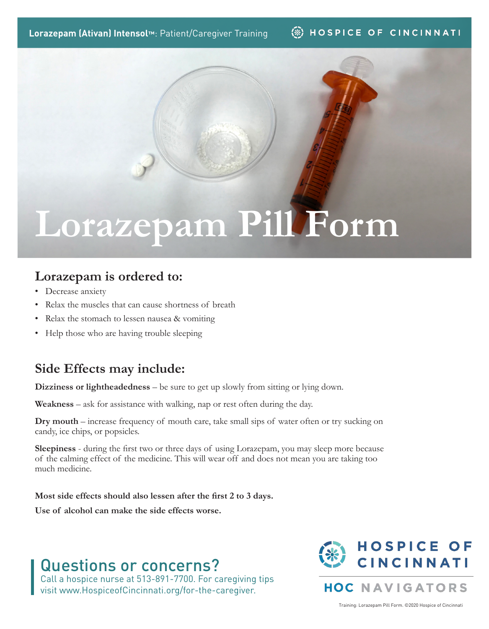**Lorazepam (Ativan) Intensol™**: Patient/Caregiver Training

#### **B** HOSPICE OF CINCINNATI

# **Lorazepam Pill Form**

### **Lorazepam is ordered to:**

- Decrease anxiety
- Relax the muscles that can cause shortness of breath
- Relax the stomach to lessen nausea & vomiting
- Help those who are having trouble sleeping

### **Side Effects may include:**

**Dizziness or lightheadedness** – be sure to get up slowly from sitting or lying down.

**Weakness** – ask for assistance with walking, nap or rest often during the day.

**Dry mouth** – increase frequency of mouth care, take small sips of water often or try sucking on candy, ice chips, or popsicles.

**Sleepiness** - during the first two or three days of using Lorazepam, you may sleep more because of the calming effect of the medicine. This will wear off and does not mean you are taking too much medicine.

**Most side effects should also lessen after the first 2 to 3 days.** 

**Use of alcohol can make the side effects worse.**

## Questions or concerns?

Call a hospice nurse at 513-891-7700. For caregiving tips visit www.HospiceofCincinnati.org/for-the-caregiver.



**HOC NAVIGATORS** 

Training: Lorazepam Pill Form. ©2020 Hospice of Cincinnati